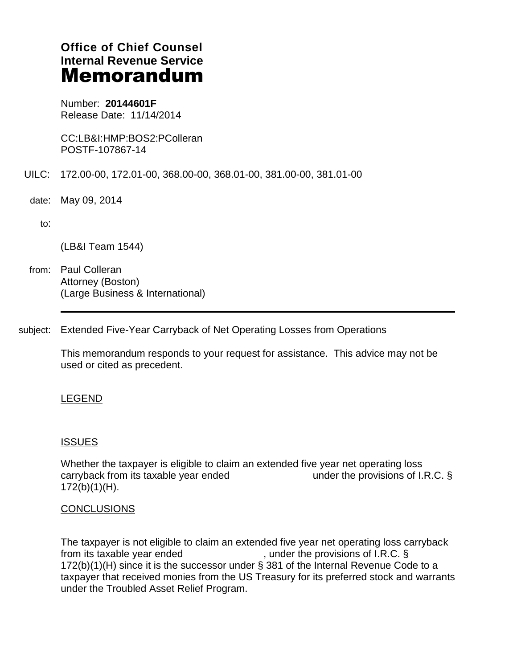# **Office of Chief Counsel Internal Revenue Service** Memorandum

Number: **20144601F** Release Date: 11/14/2014

CC:LB&I:HMP:BOS2:PColleran POSTF-107867-14

- UILC: 172.00-00, 172.01-00, 368.00-00, 368.01-00, 381.00-00, 381.01-00
	- date: May 09, 2014
		- $\mathsf{to:}\qquad\qquad$

(LB&I Team 1544)

- from: Paul Colleran Attorney (Boston) (Large Business & International)
- subject: Extended Five-Year Carryback of Net Operating Losses from Operations

This memorandum responds to your request for assistance. This advice may not be used or cited as precedent.

## LEGEND

## **ISSUES**

Whether the taxpayer is eligible to claim an extended five year net operating loss carryback from its taxable year ended  $\blacksquare$  under the provisions of I.R.C. § 172(b)(1)(H).

## **CONCLUSIONS**

The taxpayer is not eligible to claim an extended five year net operating loss carryback from its taxable year ended  $\sim$ , under the provisions of I.R.C. § 172(b)(1)(H) since it is the successor under § 381 of the Internal Revenue Code to a taxpayer that received monies from the US Treasury for its preferred stock and warrants under the Troubled Asset Relief Program.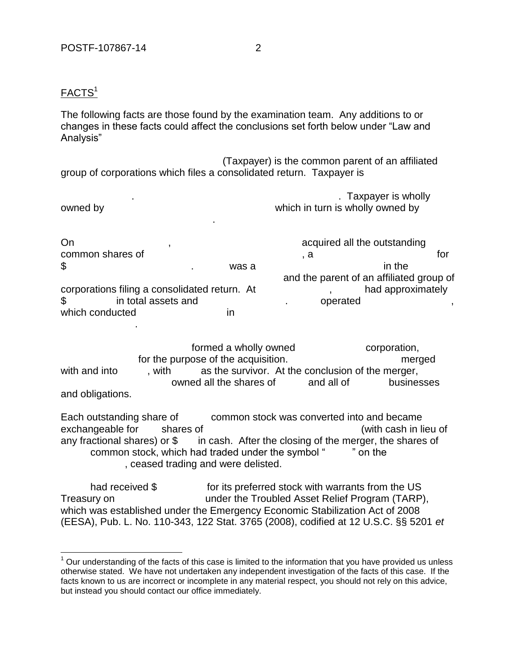## FACTS<sup>1</sup>

 $\overline{a}$ 

The following facts are those found by the examination team. Any additions to or changes in these facts could affect the conclusions set forth below under "Law and Analysis"

(Taxpayer) is the common parent of an affiliated group of corporations which files a consolidated return. Taxpayer is

| owned by | . Taxpayer is wholly<br>which in turn is wholly owned by |
|----------|----------------------------------------------------------|
|          |                                                          |

On intervalse contract the contract of the contract of the outstanding acquired all the outstanding common shares of  $\hspace{1.6cm} , a$  $\texttt{\$}$ and the parent of an affiliated group of corporations filing a consolidated return. At  $\qquad \qquad$ , had approximately \$-------------- in total assets and -------------------------. --------operated --------------------------, which conducted in ----------------------.

formed a wholly owned  $\qquad \qquad \text{corporation},$ for the purpose of the acquisition. The same state of the acquisition. with and into  $\cdots$ , with  $\cdots$  as the survivor. At the conclusion of the merger, -------------------------------- owned all the shares of -------- and all of ---------- businesses and obligations.

Each outstanding share of common stock was converted into and became exchangeable for shares of  $\blacksquare$ any fractional shares) or  $\$\$ in cash. After the closing of the merger, the shares of common stock, which had traded under the symbol "<sup>"</sup> on the , ceased trading and were delisted.

had received  $\$\$  for its preferred stock with warrants from the US Treasury on --------------------------under the Troubled Asset Relief Program (TARP), which was established under the Emergency Economic Stabilization Act of 2008 (EESA), Pub. L. No. 110-343, 122 Stat. 3765 (2008), codified at 12 U.S.C. §§ 5201 *et* 

 $<sup>1</sup>$  Our understanding of the facts of this case is limited to the information that you have provided us unless</sup> otherwise stated. We have not undertaken any independent investigation of the facts of this case. If the facts known to us are incorrect or incomplete in any material respect, you should not rely on this advice, but instead you should contact our office immediately.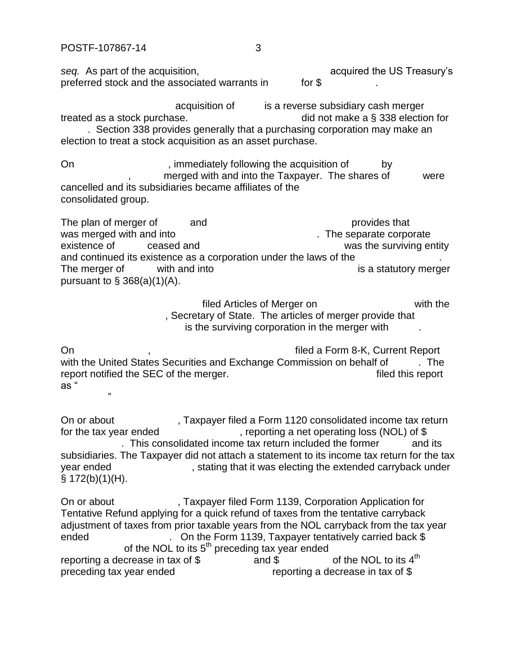$\cdots$ 

seq. As part of the acquisition,  $\overline{\phantom{a}}$  acquired the US Treasury's preferred stock and the associated warrants in  $\blacksquare$  for \$

acquisition of  $\qquad \qquad$  is a reverse subsidiary cash merger treated as a stock purchase.  $\frac{1}{2}$  did not make a § 338 election for . Section 338 provides generally that a purchasing corporation may make an election to treat a stock acquisition as an asset purchase.

On example of the immediately following the acquisition of the by merged with and into the Taxpayer. The shares of were cancelled and its subsidiaries became affiliates of the consolidated group.

The plan of merger of  $\qquad$  and  $\qquad$   $\qquad$   $\qquad$   $\qquad$   $\qquad$   $\qquad$   $\qquad$   $\qquad$   $\qquad$   $\qquad$   $\qquad$   $\qquad$   $\qquad$   $\qquad$   $\qquad$   $\qquad$   $\qquad$   $\qquad$   $\qquad$   $\qquad$   $\qquad$   $\qquad$   $\qquad$   $\qquad$   $\qquad$   $\qquad$   $\qquad$   $\qquad$   $\qquad$   $\qquad$   $\qquad$   $\qquad$ was merged with and into  $\blacksquare$ existence of -------- ceased and ------------------------------------------was the surviving entity and continued its existence as a corporation under the laws of the The merger of  $\blacksquare$  with and into  $\blacksquare$  is a statutory merger pursuant to  $\S$  368(a)(1)(A).

> filed Articles of Merger on  $\qquad \qquad$  with the . Secretary of State. The articles of merger provide that is the surviving corporation in the merger with

On Allen And Allen And Allen And Allen And Allen And Allen And Allen And Allen And Allen And Allen And Allen A with the United States Securities and Exchange Commission on behalf of The report notified the SEC of the merger. The merger is a set of the seport filed this report as "

On or about  $\sim$ , Taxpayer filed a Form 1120 consolidated income tax return for the tax year ended  $\blacksquare$ , reporting a net operating loss (NOL) of \$ . This consolidated income tax return included the former  $\qquad \qquad$  and its subsidiaries. The Taxpayer did not attach a statement to its income tax return for the tax year ended  $\blacksquare$ , stating that it was electing the extended carryback under  $§ 172(b)(1)(H).$ 

On or about Taxpayer filed Form 1139, Corporation Application for Tentative Refund applying for a quick refund of taxes from the tentative carryback adjustment of taxes from prior taxable years from the NOL carryback from the tax year ended -----------------------. On the Form 1139, Taxpayer tentatively carried back \$------- of the NOL to its  $5<sup>th</sup>$  preceding tax year ended reporting a decrease in tax of  $\$\$  and  $\$\$  of the NOL to its 4<sup>th</sup> and \$ preceding tax year ended ----------------------------reporting a decrease in tax of \$------------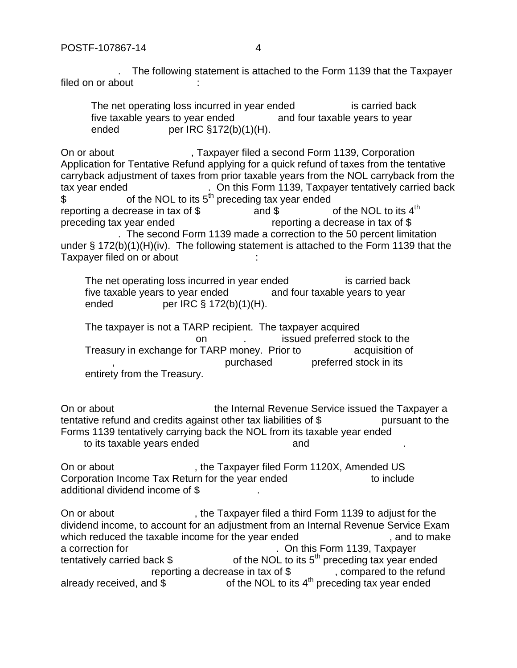. The following statement is attached to the Form 1139 that the Taxpayer filed on or about

The net operating loss incurred in year ended is carried back five taxable years to year ended and four taxable years to year ended  $per IRC \S 172(b)(1)(H).$ 

On or about  $\qquad \qquad$ , Taxpayer filed a second Form 1139, Corporation Application for Tentative Refund applying for a quick refund of taxes from the tentative carryback adjustment of taxes from prior taxable years from the NOL carryback from the tax year ended Tax Number 2011. On this Form 1139, Taxpayer tentatively carried back  $\text{S}$  of the NOL to its 5<sup>th</sup> preceding tax year ended reporting a decrease in tax of  $\$\$  and  $\$\$  of the NOL to its 4<sup>th</sup>  $-$ and  $\$$ preceding tax year ended  $\Box$  reporting a decrease in tax of \$ . The second Form 1139 made a correction to the 50 percent limitation under § 172(b)(1)(H)(iv). The following statement is attached to the Form 1139 that the Taxpayer filed on or about

The net operating loss incurred in year ended is carried back five taxable years to year ended and four taxable years to year ended  $per IRC \S 172(b)(1)(H).$ 

The taxpayer is not a TARP recipient. The taxpayer acquired on extending the stock to the stock to the stock to the state on  $\mathbf{r}$ Treasury in exchange for TARP money. Prior to example acquisition of purchased preferred stock in its entirety from the Treasury.

On or about  $\blacksquare$  the Internal Revenue Service issued the Taxpayer a tentative refund and credits against other tax liabilities of  $\$\$  pursuant to the Forms 1139 tentatively carrying back the NOL from its taxable year ended to its taxable years ended  $\qquad \qquad \text{and}$ 

On or about  $\qquad \qquad$ , the Taxpayer filed Form 1120X, Amended US Corporation Income Tax Return for the year ended  $\blacksquare$  to include additional dividend income of \$-

On or about  $\qquad \qquad$  the Taxpayer filed a third Form 1139 to adjust for the dividend income, to account for an adjustment from an Internal Revenue Service Exam which reduced the taxable income for the year ended  $\blacksquare$ , and to make a correction for  $\blacksquare$  . On this Form 1139, Taxpayer tentatively carried back  $\$\,$  of the NOL to its 5<sup>th</sup> preceding tax year ended reporting a decrease in tax of  $\frac{1}{2}$ , compared to the refund already received, and  $\sin \theta$  of the NOL to its 4<sup>th</sup> preceding tax year ended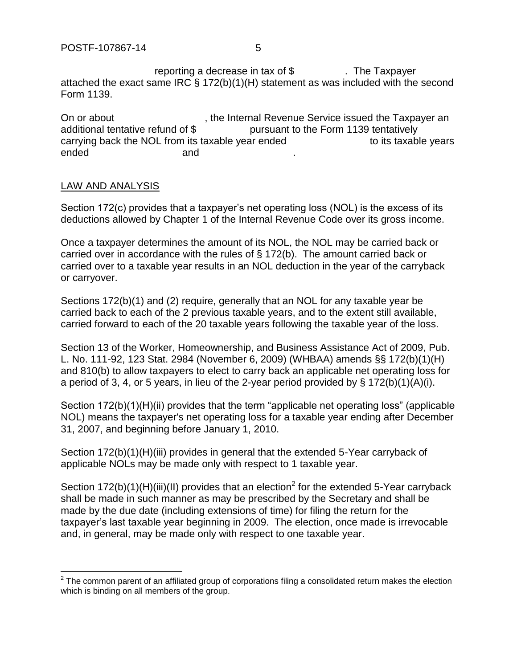reporting a decrease in tax of  $$$ . The Taxpayer attached the exact same IRC § 172(b)(1)(H) statement as was included with the second Form 1139.

On or about  $\qquad \qquad$ , the Internal Revenue Service issued the Taxpayer an additional tentative refund of \$ pursuant to the Form 1139 tentatively carrying back the NOL from its taxable year ended  $\blacksquare$  to its taxable years ended and and and and and and  $\overline{\phantom{aa}}$ 

#### LAW AND ANALYSIS

 $\overline{a}$ 

Section 172(c) provides that a taxpayer's net operating loss (NOL) is the excess of its deductions allowed by Chapter 1 of the Internal Revenue Code over its gross income.

Once a taxpayer determines the amount of its NOL, the NOL may be carried back or carried over in accordance with the rules of § 172(b). The amount carried back or carried over to a taxable year results in an NOL deduction in the year of the carryback or carryover.

Sections 172(b)(1) and (2) require, generally that an NOL for any taxable year be carried back to each of the 2 previous taxable years, and to the extent still available, carried forward to each of the 20 taxable years following the taxable year of the loss.

Section 13 of the Worker, Homeownership, and Business Assistance Act of 2009, Pub. L. No. 111-92, 123 Stat. 2984 (November 6, 2009) (WHBAA) amends §§ 172(b)(1)(H) and 810(b) to allow taxpayers to elect to carry back an applicable net operating loss for a period of 3, 4, or 5 years, in lieu of the 2-year period provided by § 172(b)(1)(A)(i).

Section 172(b)(1)(H)(ii) provides that the term "applicable net operating loss" (applicable NOL) means the taxpayer's net operating loss for a taxable year ending after December 31, 2007, and beginning before January 1, 2010.

Section 172(b)(1)(H)(iii) provides in general that the extended 5-Year carryback of applicable NOLs may be made only with respect to 1 taxable year.

Section 172(b)(1)(H)(iii)(II) provides that an election<sup>2</sup> for the extended 5-Year carryback shall be made in such manner as may be prescribed by the Secretary and shall be made by the due date (including extensions of time) for filing the return for the taxpayer's last taxable year beginning in 2009. The election, once made is irrevocable and, in general, may be made only with respect to one taxable year.

 $2$  The common parent of an affiliated group of corporations filing a consolidated return makes the election which is binding on all members of the group.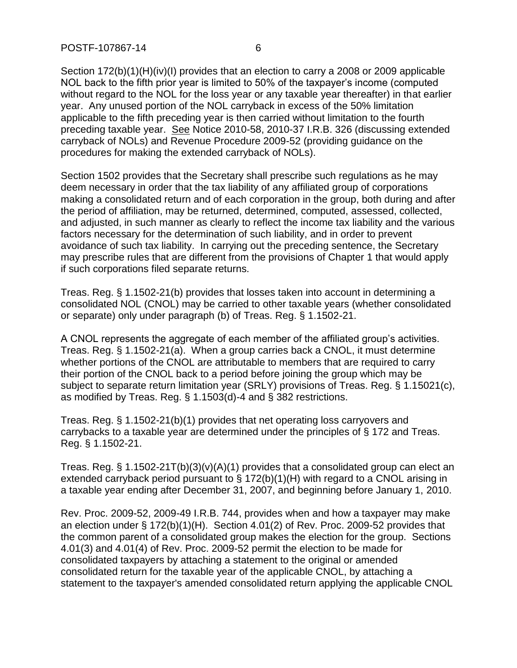Section 172(b)(1)(H)(iv)(I) provides that an election to carry a 2008 or 2009 applicable NOL back to the fifth prior year is limited to 50% of the taxpayer's income (computed without regard to the NOL for the loss year or any taxable year thereafter) in that earlier year. Any unused portion of the NOL carryback in excess of the 50% limitation applicable to the fifth preceding year is then carried without limitation to the fourth preceding taxable year. See Notice 2010-58, 2010-37 I.R.B. 326 (discussing extended carryback of NOLs) and Revenue Procedure 2009-52 (providing guidance on the procedures for making the extended carryback of NOLs).

Section 1502 provides that the Secretary shall prescribe such regulations as he may deem necessary in order that the tax liability of any affiliated group of corporations making a consolidated return and of each corporation in the group, both during and after the period of affiliation, may be returned, determined, computed, assessed, collected, and adjusted, in such manner as clearly to reflect the income tax liability and the various factors necessary for the determination of such liability, and in order to prevent avoidance of such tax liability. In carrying out the preceding sentence, the Secretary may prescribe rules that are different from the provisions of Chapter 1 that would apply if such corporations filed separate returns.

Treas. Reg. § 1.1502-21(b) provides that losses taken into account in determining a consolidated NOL (CNOL) may be carried to other taxable years (whether consolidated or separate) only under paragraph (b) of Treas. Reg. § 1.1502-21.

A CNOL represents the aggregate of each member of the affiliated group's activities. Treas. Reg. § 1.1502-21(a). When a group carries back a CNOL, it must determine whether portions of the CNOL are attributable to members that are required to carry their portion of the CNOL back to a period before joining the group which may be subject to separate return limitation year (SRLY) provisions of Treas. Reg. § 1.15021(c), as modified by Treas. Reg. § 1.1503(d)-4 and § 382 restrictions.

Treas. Reg. § 1.1502-21(b)(1) provides that net operating loss carryovers and carrybacks to a taxable year are determined under the principles of § 172 and Treas. Reg. § 1.1502-21.

Treas. Reg. § 1.1502-21T(b)(3)(v)(A)(1) provides that a consolidated group can elect an extended carryback period pursuant to § 172(b)(1)(H) with regard to a CNOL arising in a taxable year ending after December 31, 2007, and beginning before January 1, 2010.

Rev. Proc. 2009-52, 2009-49 I.R.B. 744, provides when and how a taxpayer may make an election under § 172(b)(1)(H). Section 4.01(2) of Rev. Proc. 2009-52 provides that the common parent of a consolidated group makes the election for the group. Sections 4.01(3) and 4.01(4) of Rev. Proc. 2009-52 permit the election to be made for consolidated taxpayers by attaching a statement to the original or amended consolidated return for the taxable year of the applicable CNOL, by attaching a statement to the taxpayer's amended consolidated return applying the applicable CNOL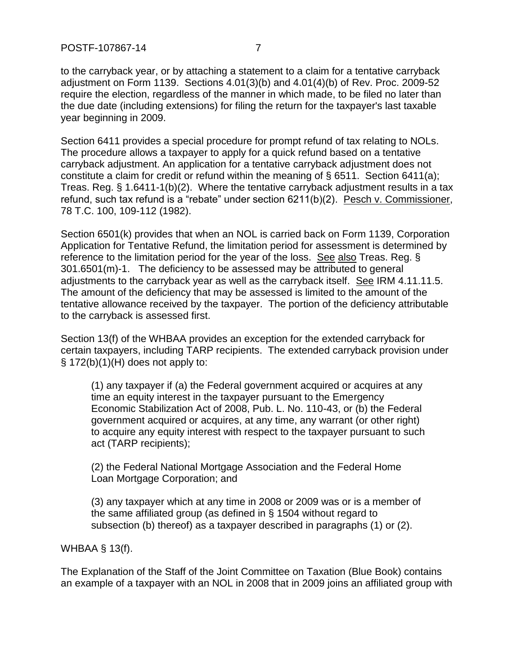to the carryback year, or by attaching a statement to a claim for a tentative carryback adjustment on Form 1139. Sections 4.01(3)(b) and 4.01(4)(b) of Rev. Proc. 2009-52 require the election, regardless of the manner in which made, to be filed no later than the due date (including extensions) for filing the return for the taxpayer's last taxable year beginning in 2009.

Section 6411 provides a special procedure for prompt refund of tax relating to NOLs. The procedure allows a taxpayer to apply for a quick refund based on a tentative carryback adjustment. An application for a tentative carryback adjustment does not constitute a claim for credit or refund within the meaning of § 6511. Section 6411(a); Treas. Reg. § 1.6411-1(b)(2). Where the tentative carryback adjustment results in a tax refund, such tax refund is a "rebate" under section 6211(b)(2). Pesch v. Commissioner, 78 T.C. 100, 109-112 (1982).

Section 6501(k) provides that when an NOL is carried back on Form 1139, Corporation Application for Tentative Refund, the limitation period for assessment is determined by reference to the limitation period for the year of the loss. See also Treas. Reg. § 301.6501(m)-1. The deficiency to be assessed may be attributed to general adjustments to the carryback year as well as the carryback itself. See IRM 4.11.11.5. The amount of the deficiency that may be assessed is limited to the amount of the tentative allowance received by the taxpayer. The portion of the deficiency attributable to the carryback is assessed first.

Section 13(f) of the WHBAA provides an exception for the extended carryback for certain taxpayers, including TARP recipients. The extended carryback provision under  $\S$  172(b)(1)(H) does not apply to:

(1) any taxpayer if (a) the Federal government acquired or acquires at any time an equity interest in the taxpayer pursuant to the Emergency Economic Stabilization Act of 2008, Pub. L. No. 110-43, or (b) the Federal government acquired or acquires, at any time, any warrant (or other right) to acquire any equity interest with respect to the taxpayer pursuant to such act (TARP recipients);

(2) the Federal National Mortgage Association and the Federal Home Loan Mortgage Corporation; and

(3) any taxpayer which at any time in 2008 or 2009 was or is a member of the same affiliated group (as defined in § 1504 without regard to subsection (b) thereof) as a taxpayer described in paragraphs (1) or (2).

WHBAA § 13(f).

The Explanation of the Staff of the Joint Committee on Taxation (Blue Book) contains an example of a taxpayer with an NOL in 2008 that in 2009 joins an affiliated group with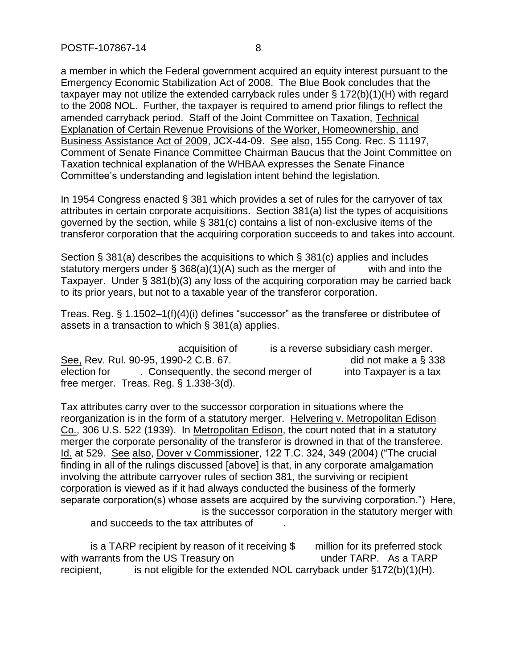a member in which the Federal government acquired an equity interest pursuant to the Emergency Economic Stabilization Act of 2008. The Blue Book concludes that the taxpayer may not utilize the extended carryback rules under § 172(b)(1)(H) with regard to the 2008 NOL. Further, the taxpayer is required to amend prior filings to reflect the amended carryback period. Staff of the Joint Committee on Taxation, Technical Explanation of Certain Revenue Provisions of the Worker, Homeownership, and Business Assistance Act of 2009, JCX-44-09. See also, 155 Cong. Rec. S 11197, Comment of Senate Finance Committee Chairman Baucus that the Joint Committee on Taxation technical explanation of the WHBAA expresses the Senate Finance Committee's understanding and legislation intent behind the legislation.

In 1954 Congress enacted § 381 which provides a set of rules for the carryover of tax attributes in certain corporate acquisitions. Section 381(a) list the types of acquisitions governed by the section, while § 381(c) contains a list of non-exclusive items of the transferor corporation that the acquiring corporation succeeds to and takes into account.

Section § 381(a) describes the acquisitions to which § 381(c) applies and includes statutory mergers under  $\S$  368(a)(1)(A) such as the merger of with and into the Taxpayer. Under § 381(b)(3) any loss of the acquiring corporation may be carried back to its prior years, but not to a taxable year of the transferor corporation.

Treas. Reg. § 1.1502–1(f)(4)(i) defines "successor" as the transferee or distributee of assets in a transaction to which § 381(a) applies.

acquisition of  $\qquad \qquad$  is a reverse subsidiary cash merger. See, Rev. Rul. 90-95, 1990-2 C.B. 67. -------------------------------- did not make a § 338 election for . Consequently, the second merger of into Taxpayer is a tax free merger. Treas. Reg. § 1.338-3(d).

Tax attributes carry over to the successor corporation in situations where the reorganization is in the form of a statutory merger. Helvering v. Metropolitan Edison Co., 306 U.S. 522 (1939). In Metropolitan Edison, the court noted that in a statutory merger the corporate personality of the transferor is drowned in that of the transferee. Id. at 529. See also, Dover v Commissioner, 122 T.C. 324, 349 (2004) ("The crucial finding in all of the rulings discussed [above] is that, in any corporate amalgamation involving the attribute carryover rules of section 381, the surviving or recipient corporation is viewed as if it had always conducted the business of the formerly separate corporation(s) whose assets are acquired by the surviving corporation.") Here, is the successor corporation in the statutory merger with

and succeeds to the tax attributes of

is a TARP recipient by reason of it receiving  $\$\text{million}$  for its preferred stock with warrants from the US Treasury on  $\qquad \qquad$  under TARP. As a TARP recipient,  $\cdot$  is not eligible for the extended NOL carryback under §172(b)(1)(H).